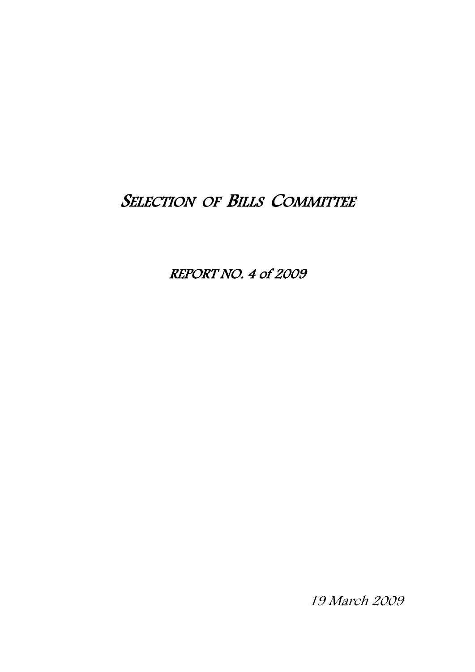# SELECTION OF BILLS COMMITTEE

REPORT NO. 4 of 2009

19 March 2009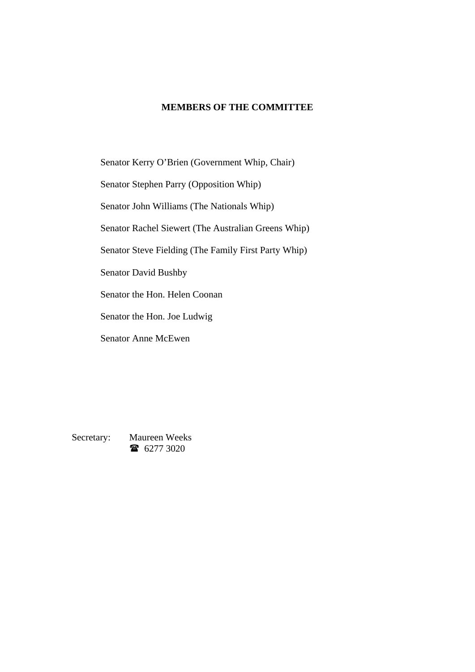#### **MEMBERS OF THE COMMITTEE**

Senator Kerry O'Brien (Government Whip, Chair)

Senator Stephen Parry (Opposition Whip)

Senator John Williams (The Nationals Whip)

Senator Rachel Siewert (The Australian Greens Whip)

Senator Steve Fielding (The Family First Party Whip)

Senator David Bushby

Senator the Hon. Helen Coonan

Senator the Hon. Joe Ludwig

Senator Anne McEwen

Secretary: Maureen Weeks 16277 3020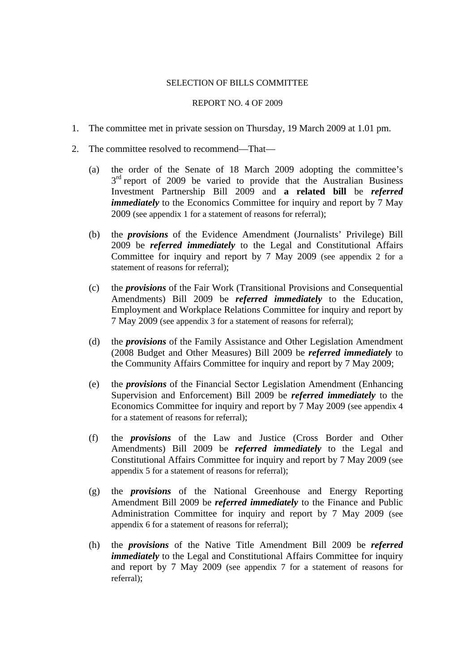#### SELECTION OF BILLS COMMITTEE

#### REPORT NO. 4 OF 2009

- 1. The committee met in private session on Thursday, 19 March 2009 at 1.01 pm.
- 2. The committee resolved to recommend—That—
	- (a) the order of the Senate of 18 March 2009 adopting the committee's  $3<sup>rd</sup>$  report of 2009 be varied to provide that the Australian Business Investment Partnership Bill 2009 and **a related bill** be *referred immediately* to the Economics Committee for inquiry and report by 7 May 2009 (see appendix 1 for a statement of reasons for referral);
	- (b) the *provisions* of the Evidence Amendment (Journalists' Privilege) Bill 2009 be *referred immediately* to the Legal and Constitutional Affairs Committee for inquiry and report by 7 May 2009 (see appendix 2 for a statement of reasons for referral);
	- (c) the *provisions* of the Fair Work (Transitional Provisions and Consequential Amendments) Bill 2009 be *referred immediately* to the Education, Employment and Workplace Relations Committee for inquiry and report by 7 May 2009 (see appendix 3 for a statement of reasons for referral);
	- (d) the *provisions* of the Family Assistance and Other Legislation Amendment (2008 Budget and Other Measures) Bill 2009 be *referred immediately* to the Community Affairs Committee for inquiry and report by 7 May 2009;
	- (e) the *provisions* of the Financial Sector Legislation Amendment (Enhancing Supervision and Enforcement) Bill 2009 be *referred immediately* to the Economics Committee for inquiry and report by 7 May 2009 (see appendix 4 for a statement of reasons for referral);
	- (f) the *provisions* of the Law and Justice (Cross Border and Other Amendments) Bill 2009 be *referred immediately* to the Legal and Constitutional Affairs Committee for inquiry and report by 7 May 2009 (see appendix 5 for a statement of reasons for referral);
	- (g) the *provisions* of the National Greenhouse and Energy Reporting Amendment Bill 2009 be *referred immediately* to the Finance and Public Administration Committee for inquiry and report by 7 May 2009 (see appendix 6 for a statement of reasons for referral);
	- (h) the *provisions* of the Native Title Amendment Bill 2009 be *referred immediately* to the Legal and Constitutional Affairs Committee for inquiry and report by 7 May 2009 (see appendix 7 for a statement of reasons for referral);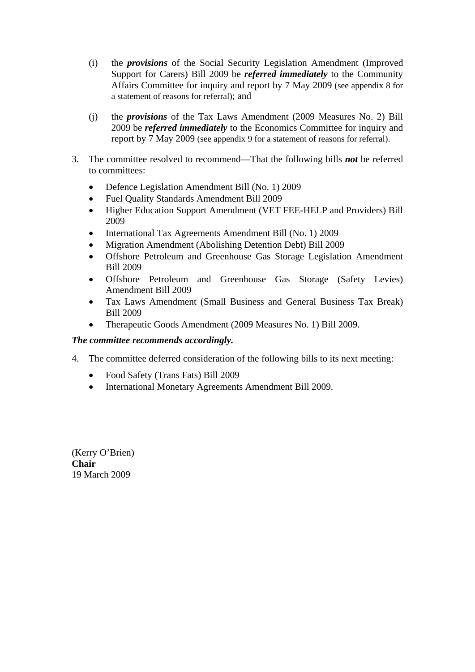- (i) the *provisions* of the Social Security Legislation Amendment (Improved Support for Carers) Bill 2009 be *referred immediately* to the Community Affairs Committee for inquiry and report by 7 May 2009 (see appendix 8 for a statement of reasons for referral); and
- (j) the *provisions* of the Tax Laws Amendment (2009 Measures No. 2) Bill 2009 be *referred immediately* to the Economics Committee for inquiry and report by 7 May 2009 (see appendix 9 for a statement of reasons for referral).
- 3. The committee resolved to recommend—That the following bills *not* be referred to committees:
	- Defence Legislation Amendment Bill (No. 1) 2009
	- Fuel Quality Standards Amendment Bill 2009
	- Higher Education Support Amendment (VET FEE-HELP and Providers) Bill 2009
	- International Tax Agreements Amendment Bill (No. 1) 2009
	- Migration Amendment (Abolishing Detention Debt) Bill 2009
	- Offshore Petroleum and Greenhouse Gas Storage Legislation Amendment Bill 2009
	- Offshore Petroleum and Greenhouse Gas Storage (Safety Levies) Amendment Bill 2009
	- Tax Laws Amendment (Small Business and General Business Tax Break) Bill 2009
	- Therapeutic Goods Amendment (2009 Measures No. 1) Bill 2009.

#### *The committee recommends accordingly.*

- 4. The committee deferred consideration of the following bills to its next meeting:
	- Food Safety (Trans Fats) Bill 2009
	- International Monetary Agreements Amendment Bill 2009.

(Kerry O'Brien) **Chair** 19 March 2009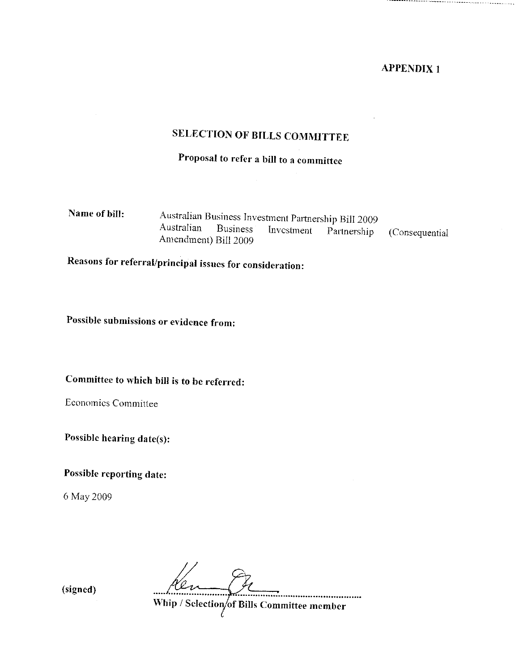# **SELECTION OF BILLS COMMITTEE**

# Proposal to refer a bill to a committee

| Name of bill: |                      |  | Australian Business Investment Partnership Bill 2009 |                                                           |
|---------------|----------------------|--|------------------------------------------------------|-----------------------------------------------------------|
|               |                      |  |                                                      | Australian Business Investment Partnership (Consequential |
|               | Amendment) Bill 2009 |  |                                                      |                                                           |

Reasons for referral/principal issues for consideration:

Possible submissions or evidence from:

Committee to which bill is to be referred:

Economics Committee

Possible hearing date(s):

Possible reporting date:

6 May 2009

Hen St

(signed)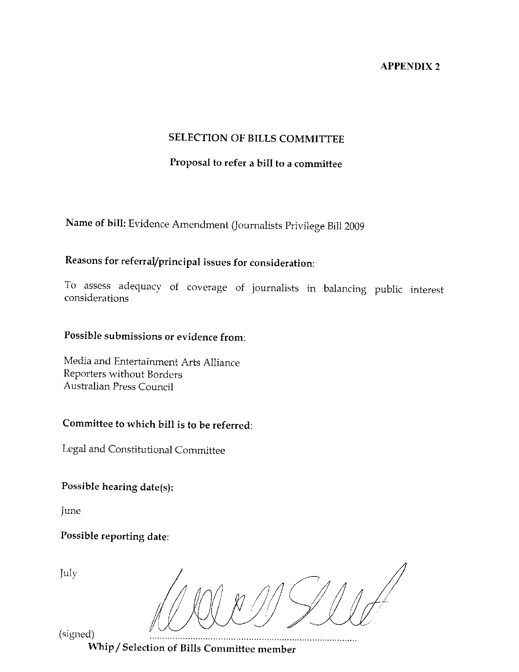#### **SELECTION OF BILLS COMMITTEE**

## Proposal to refer a bill to a committee

Name of bill: Evidence Amendment (Journalists Privilege Bill 2009

## Reasons for referral/principal issues for consideration:

To assess adequacy of coverage of journalists in balancing public interest considerations

### Possible submissions or evidence from:

Media and Entertainment Arts Alliance Reporters without Borders Australian Press Council

### Committee to which bill is to be referred:

Legal and Constitutional Committee

Possible hearing date(s):

June

Possible reporting date:

July

(signed)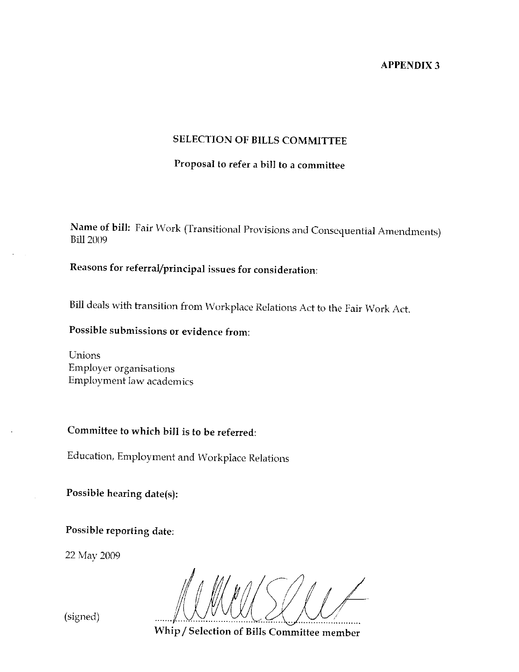#### **SELECTION OF BILLS COMMITTEE**

## Proposal to refer a bill to a committee

Name of bill: Fair Work (Transitional Provisions and Consequential Amendments) **Bill 2009** 

# Reasons for referral/principal issues for consideration:

Bill deals with transition from Workplace Relations Act to the Fair Work Act.

Possible submissions or evidence from:

Unions Employer organisations Employment law academics

## Committee to which bill is to be referred:

Education, Employment and Workplace Relations

Possible hearing date(s):

Possible reporting date:

22 May 2009

Whip / Selection of Bills Committee member

(signed)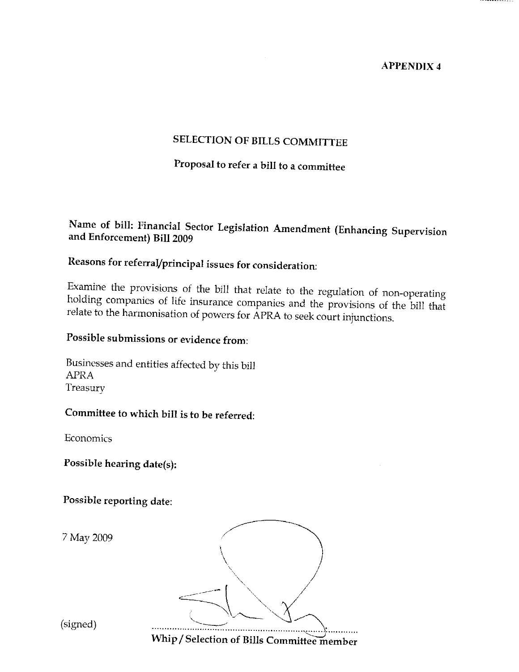## SELECTION OF BILLS COMMITTEE

# Proposal to refer a bill to a committee

### Name of bill: Financial Sector Legislation Amendment (Enhancing Supervision and Enforcement) Bill 2009

# Reasons for referral/principal issues for consideration:

Examine the provisions of the bill that relate to the regulation of non-operating holding companies of life insurance companies and the provisions of the bill that relate to the harmonisation of powers for APRA to seek court injunctions.

## Possible submissions or evidence from:

Businesses and entities affected by this bill **APRA** Treasury

### Committee to which bill is to be referred:

Economics

Possible hearing date(s):

Possible reporting date:

7 May 2009



(signed)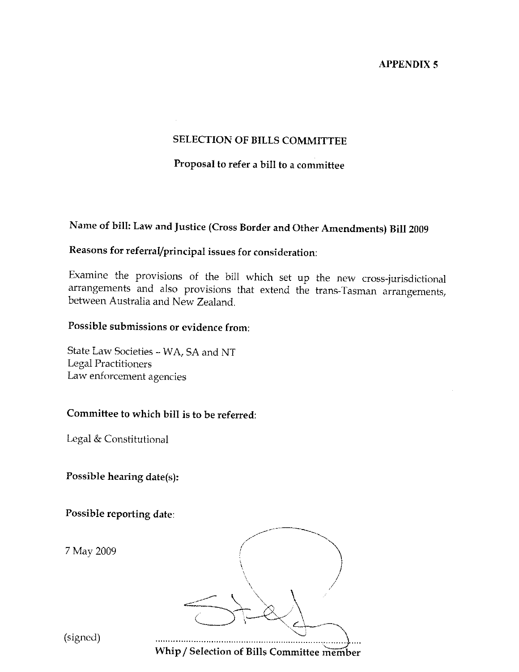#### **SELECTION OF BILLS COMMITTEE**

#### Proposal to refer a bill to a committee

# Name of bill: Law and Justice (Cross Border and Other Amendments) Bill 2009

## Reasons for referral/principal issues for consideration:

Examine the provisions of the bill which set up the new cross-jurisdictional arrangements and also provisions that extend the trans-Tasman arrangements, between Australia and New Zealand.

### Possible submissions or evidence from:

State Law Societies - WA, SA and NT Legal Practitioners Law enforcement agencies

#### Committee to which bill is to be referred:

Legal & Constitutional

Possible hearing date(s):

Possible reporting date:

7 May 2009



(signed)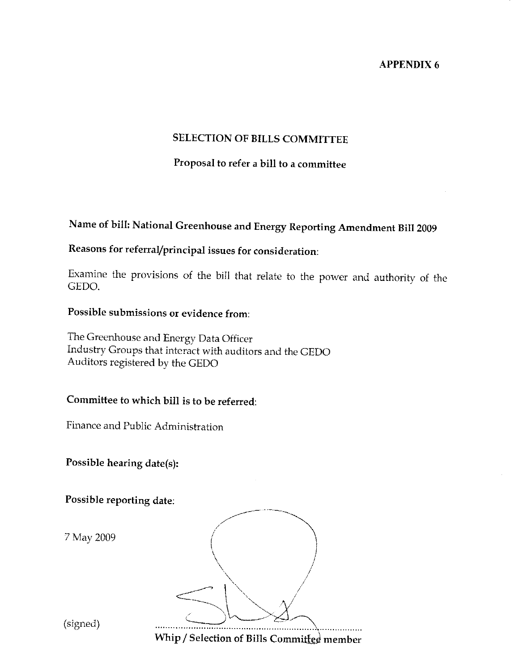### **SELECTION OF BILLS COMMITTEE**

## Proposal to refer a bill to a committee

# Name of bill: National Greenhouse and Energy Reporting Amendment Bill 2009

## Reasons for referral/principal issues for consideration:

Examine the provisions of the bill that relate to the power and authority of the GEDO.

#### Possible submissions or evidence from:

The Greenhouse and Energy Data Officer Industry Groups that interact with auditors and the GEDO Auditors registered by the GEDO

#### Committee to which bill is to be referred:

Finance and Public Administration

Possible hearing date(s):

Possible reporting date:

7 May 2009

| $\lim_{\alpha \to \infty}$ / Colooting | CDIII, C | $\cdot$ . $\cdot$ |  |
|----------------------------------------|----------|-------------------|--|

(signed)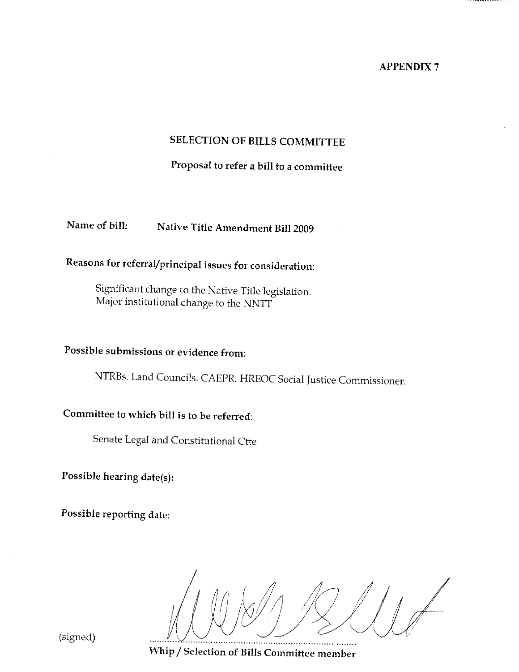## SELECTION OF BILLS COMMITTEE

Proposal to refer a bill to a committee

Name of bill: Native Title Amendment Bill 2009

# Reasons for referral/principal issues for consideration:

Significant change to the Native Title legislation. Major institutional change to the NNTT

## Possible submissions or evidence from:

NTRBs. Land Councils. CAEPR. HREOC Social Justice Commissioner.

## Committee to which bill is to be referred:

Senate Legal and Constitutional Ctte

Possible hearing date(s):

Possible reporting date:

(signed)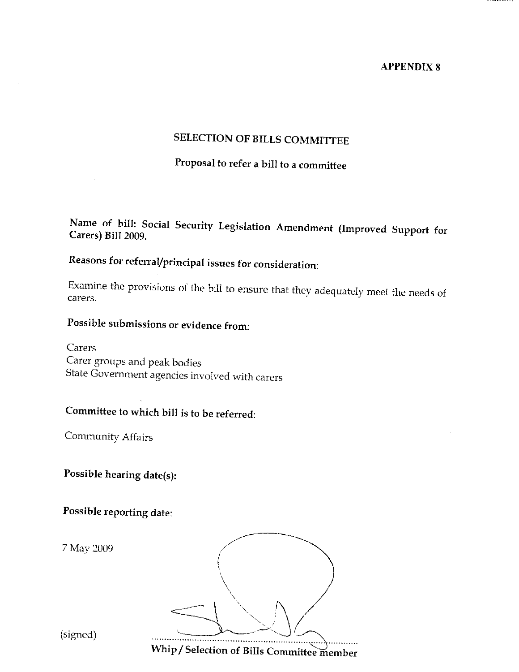## SELECTION OF BILLS COMMITTEE

# Proposal to refer a bill to a committee

### Name of bill: Social Security Legislation Amendment (Improved Support for Carers) Bill 2009.

# Reasons for referral/principal issues for consideration:

Examine the provisions of the bill to ensure that they adequately meet the needs of carers.

## Possible submissions or evidence from:

Carers Carer groups and peak bodies State Government agencies involved with carers

# Committee to which bill is to be referred:

Community Affairs

Possible hearing date(s):

Possible reporting date:

7 May 2009



(signed)